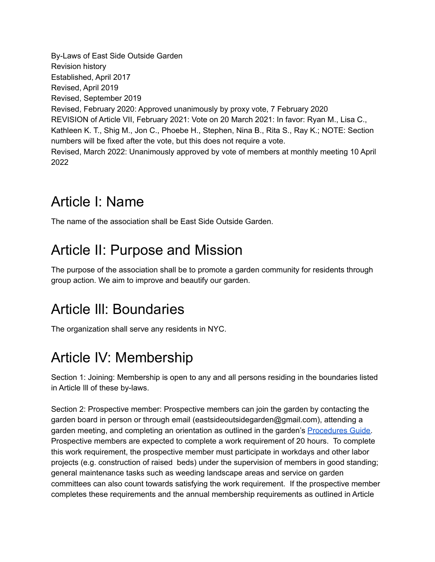By-Laws of East Side Outside Garden Revision history Established, April 2017 Revised, April 2019 Revised, September 2019 Revised, February 2020: Approved unanimously by proxy vote, 7 February 2020 REVISION of Article VII, February 2021: Vote on 20 March 2021: In favor: Ryan M., Lisa C., Kathleen K. T., Shig M., Jon C., Phoebe H., Stephen, Nina B., Rita S., Ray K.; NOTE: Section numbers will be fixed after the vote, but this does not require a vote. Revised, March 2022: Unanimously approved by vote of members at monthly meeting 10 April 2022

### Article I: Name

The name of the association shall be East Side Outside Garden.

## Article II: Purpose and Mission

The purpose of the association shall be to promote a garden community for residents through group action. We aim to improve and beautify our garden.

#### Article Ill: Boundaries

The organization shall serve any residents in NYC.

#### Article IV: Membership

Section 1: Joining: Membership is open to any and all persons residing in the boundaries listed in Article Ill of these by-laws.

Section 2: Prospective member: Prospective members can join the garden by contacting the garden board in person or through email (eastsideoutsidegarden@gmail.com), attending a garden meeting, and completing an orientation as outlined in the garden's [Procedures](https://docs.google.com/document/u/2/d/1qzSAs1KjqiyPoktNRPPARFf3IOiFoJ4wCUrzNOhq5Ys/edit) Guide. Prospective members are expected to complete a work requirement of 20 hours. To complete this work requirement, the prospective member must participate in workdays and other labor projects (e.g. construction of raised beds) under the supervision of members in good standing; general maintenance tasks such as weeding landscape areas and service on garden committees can also count towards satisfying the work requirement. If the prospective member completes these requirements and the annual membership requirements as outlined in Article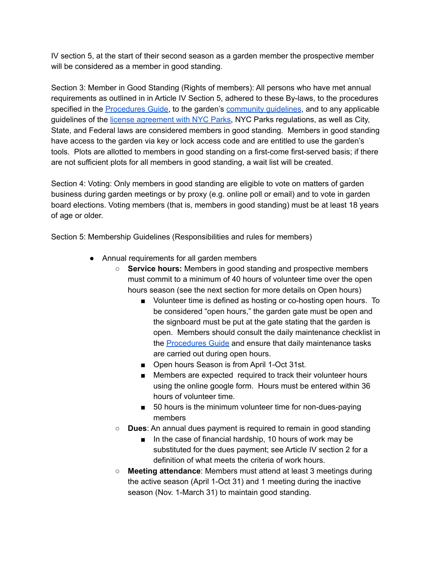IV section 5, at the start of their second season as a garden member the prospective member will be considered as a member in good standing.

Section 3: Member in Good Standing (Rights of members): All persons who have met annual requirements as outlined in in Article IV Section 5, adhered to these By-laws, to the procedures specified in the **[Procedures](https://docs.google.com/document/u/2/d/1qzSAs1KjqiyPoktNRPPARFf3IOiFoJ4wCUrzNOhq5Ys/edit) Guide**, to the garden's [community](https://docs.google.com/document/d/1wTsLWezfIWdIFMABJxr5BPCgaB_HkwWDXjEa6qT4E6U/edit?usp=sharing) quidelines, and to any applicable guidelines of the license [agreement](https://drive.google.com/open?id=1bvvAW7Bg5xdkH-w7ZPX042Ia98PF77YX) with NYC Parks, NYC Parks regulations, as well as City, State, and Federal laws are considered members in good standing. Members in good standing have access to the garden via key or lock access code and are entitled to use the garden's tools. Plots are allotted to members in good standing on a first-come first-served basis; if there are not sufficient plots for all members in good standing, a wait list will be created.

Section 4: Voting: Only members in good standing are eligible to vote on matters of garden business during garden meetings or by proxy (e.g. online poll or email) and to vote in garden board elections. Voting members (that is, members in good standing) must be at least 18 years of age or older.

Section 5: Membership Guidelines (Responsibilities and rules for members)

- Annual requirements for all garden members
	- **Service hours:** Members in good standing and prospective members must commit to a minimum of 40 hours of volunteer time over the open hours season (see the next section for more details on Open hours)
		- Volunteer time is defined as hosting or co-hosting open hours. To be considered "open hours," the garden gate must be open and the signboard must be put at the gate stating that the garden is open. Members should consult the daily maintenance checklist in the **[Procedures](https://docs.google.com/document/u/2/d/1qzSAs1KjqiyPoktNRPPARFf3IOiFoJ4wCUrzNOhq5Ys/edit) Guide** and ensure that daily maintenance tasks are carried out during open hours.
		- Open hours Season is from April 1-Oct 31st.
		- Members are expected required to track their volunteer hours using the online google form. Hours must be entered within 36 hours of volunteer time.
		- 50 hours is the minimum volunteer time for non-dues-paying members
	- **Dues**: An annual dues payment is required to remain in good standing
		- In the case of financial hardship, 10 hours of work may be substituted for the dues payment; see Article IV section 2 for a definition of what meets the criteria of work hours.
	- **Meeting attendance**: Members must attend at least 3 meetings during the active season (April 1-Oct 31) and 1 meeting during the inactive season (Nov. 1-March 31) to maintain good standing.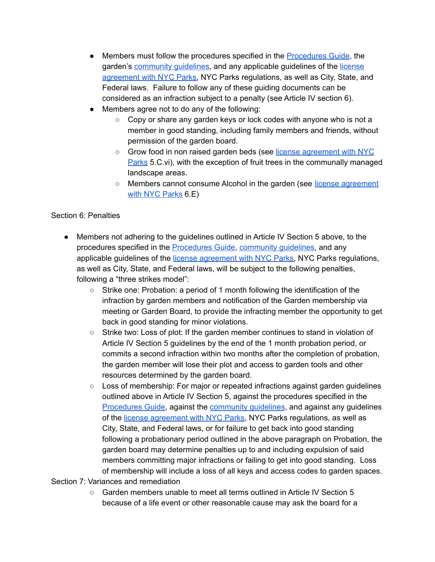- Members must follow the procedures specified in the [Procedures](https://docs.google.com/document/u/2/d/1qzSAs1KjqiyPoktNRPPARFf3IOiFoJ4wCUrzNOhq5Ys/edit) Guide, the garden's [community](https://docs.google.com/document/d/1wTsLWezfIWdIFMABJxr5BPCgaB_HkwWDXjEa6qT4E6U/edit?usp=sharing) quidelines, and any applicable guidelines of the [license](https://drive.google.com/open?id=1bvvAW7Bg5xdkH-w7ZPX042Ia98PF77YX) [agreement](https://drive.google.com/open?id=1bvvAW7Bg5xdkH-w7ZPX042Ia98PF77YX) with NYC Parks, NYC Parks regulations, as well as City, State, and Federal laws. Failure to follow any of these guiding documents can be considered as an infraction subject to a penalty (see Article IV section 6).
- Members agree not to do any of the following:
	- $\circ$  Copy or share any garden keys or lock codes with anyone who is not a member in good standing, including family members and friends, without permission of the garden board.
	- Grow food in non raised garden beds (see license [agreement](https://drive.google.com/open?id=1bvvAW7Bg5xdkH-w7ZPX042Ia98PF77YX) with NYC [Parks](https://drive.google.com/open?id=1bvvAW7Bg5xdkH-w7ZPX042Ia98PF77YX) 5.C.vi), with the exception of fruit trees in the communally managed landscape areas.
	- Members cannot consume Alcohol in the garden (see license [agreement](https://drive.google.com/open?id=1bvvAW7Bg5xdkH-w7ZPX042Ia98PF77YX) with NYC [Parks](https://drive.google.com/open?id=1bvvAW7Bg5xdkH-w7ZPX042Ia98PF77YX) 6.E)

#### Section 6: Penalties

- Members not adhering to the guidelines outlined in Article IV Section 5 above, to the procedures specified in the [Procedures](https://docs.google.com/document/u/2/d/1qzSAs1KjqiyPoktNRPPARFf3IOiFoJ4wCUrzNOhq5Ys/edit) Guide, [community](https://docs.google.com/document/d/1wTsLWezfIWdIFMABJxr5BPCgaB_HkwWDXjEa6qT4E6U/edit?usp=sharing) guidelines, and any applicable guidelines of the license [agreement](https://drive.google.com/open?id=1bvvAW7Bg5xdkH-w7ZPX042Ia98PF77YX) with NYC Parks, NYC Parks regulations, as well as City, State, and Federal laws, will be subject to the following penalties, following a "three strikes model":
	- Strike one: Probation: a period of 1 month following the identification of the infraction by garden members and notification of the Garden membership via meeting or Garden Board, to provide the infracting member the opportunity to get back in good standing for minor violations.
	- Strike two: Loss of plot: If the garden member continues to stand in violation of Article IV Section 5 guidelines by the end of the 1 month probation period, or commits a second infraction within two months after the completion of probation, the garden member will lose their plot and access to garden tools and other resources determined by the garden board.
	- Loss of membership: For major or repeated infractions against garden guidelines outlined above in Article IV Section 5, against the procedures specified in the [Procedures](https://docs.google.com/document/u/2/d/1qzSAs1KjqiyPoktNRPPARFf3IOiFoJ4wCUrzNOhq5Ys/edit) Guide, against the [community](https://docs.google.com/document/d/1wTsLWezfIWdIFMABJxr5BPCgaB_HkwWDXjEa6qT4E6U/edit?usp=sharing) guidelines, and against any guidelines of the license [agreement](https://drive.google.com/open?id=1bvvAW7Bg5xdkH-w7ZPX042Ia98PF77YX) with NYC Parks, NYC Parks regulations, as well as City, State, and Federal laws, or for failure to get back into good standing following a probationary period outlined in the above paragraph on Probation, the garden board may determine penalties up to and including expulsion of said members committing major infractions or failing to get into good standing. Loss of membership will include a loss of all keys and access codes to garden spaces.
- Section 7: Variances and remediation
	- Garden members unable to meet all terms outlined in Article IV Section 5 because of a life event or other reasonable cause may ask the board for a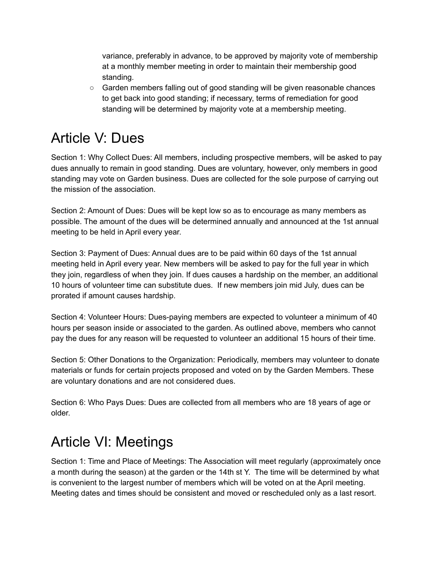variance, preferably in advance, to be approved by majority vote of membership at a monthly member meeting in order to maintain their membership good standing.

○ Garden members falling out of good standing will be given reasonable chances to get back into good standing; if necessary, terms of remediation for good standing will be determined by majority vote at a membership meeting.

#### Article V: Dues

Section 1: Why Collect Dues: All members, including prospective members, will be asked to pay dues annually to remain in good standing. Dues are voluntary, however, only members in good standing may vote on Garden business. Dues are collected for the sole purpose of carrying out the mission of the association.

Section 2: Amount of Dues: Dues will be kept low so as to encourage as many members as possible. The amount of the dues will be determined annually and announced at the 1st annual meeting to be held in April every year.

Section 3: Payment of Dues: Annual dues are to be paid within 60 days of the 1st annual meeting held in April every year. New members will be asked to pay for the full year in which they join, regardless of when they join. If dues causes a hardship on the member, an additional 10 hours of volunteer time can substitute dues. If new members join mid July, dues can be prorated if amount causes hardship.

Section 4: Volunteer Hours: Dues-paying members are expected to volunteer a minimum of 40 hours per season inside or associated to the garden. As outlined above, members who cannot pay the dues for any reason will be requested to volunteer an additional 15 hours of their time.

Section 5: Other Donations to the Organization: Periodically, members may volunteer to donate materials or funds for certain projects proposed and voted on by the Garden Members. These are voluntary donations and are not considered dues.

Section 6: Who Pays Dues: Dues are collected from all members who are 18 years of age or older.

#### Article VI: Meetings

Section 1: Time and Place of Meetings: The Association will meet regularly (approximately once a month during the season) at the garden or the 14th st Y. The time will be determined by what is convenient to the largest number of members which will be voted on at the April meeting. Meeting dates and times should be consistent and moved or rescheduled only as a last resort.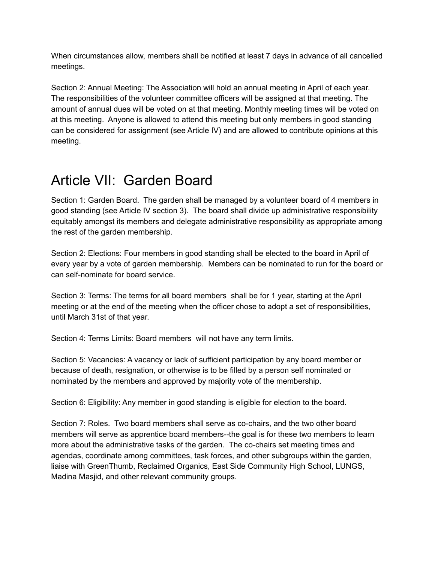When circumstances allow, members shall be notified at least 7 days in advance of all cancelled meetings.

Section 2: Annual Meeting: The Association will hold an annual meeting in April of each year. The responsibilities of the volunteer committee officers will be assigned at that meeting. The amount of annual dues will be voted on at that meeting. Monthly meeting times will be voted on at this meeting. Anyone is allowed to attend this meeting but only members in good standing can be considered for assignment (see Article IV) and are allowed to contribute opinions at this meeting.

#### Article VII: Garden Board

Section 1: Garden Board. The garden shall be managed by a volunteer board of 4 members in good standing (see Article IV section 3). The board shall divide up administrative responsibility equitably amongst its members and delegate administrative responsibility as appropriate among the rest of the garden membership.

Section 2: Elections: Four members in good standing shall be elected to the board in April of every year by a vote of garden membership. Members can be nominated to run for the board or can self-nominate for board service.

Section 3: Terms: The terms for all board members shall be for 1 year, starting at the April meeting or at the end of the meeting when the officer chose to adopt a set of responsibilities, until March 31st of that year.

Section 4: Terms Limits: Board members will not have any term limits.

Section 5: Vacancies: A vacancy or lack of sufficient participation by any board member or because of death, resignation, or otherwise is to be filled by a person self nominated or nominated by the members and approved by majority vote of the membership.

Section 6: Eligibility: Any member in good standing is eligible for election to the board.

Section 7: Roles. Two board members shall serve as co-chairs, and the two other board members will serve as apprentice board members--the goal is for these two members to learn more about the administrative tasks of the garden. The co-chairs set meeting times and agendas, coordinate among committees, task forces, and other subgroups within the garden, liaise with GreenThumb, Reclaimed Organics, East Side Community High School, LUNGS, Madina Masjid, and other relevant community groups.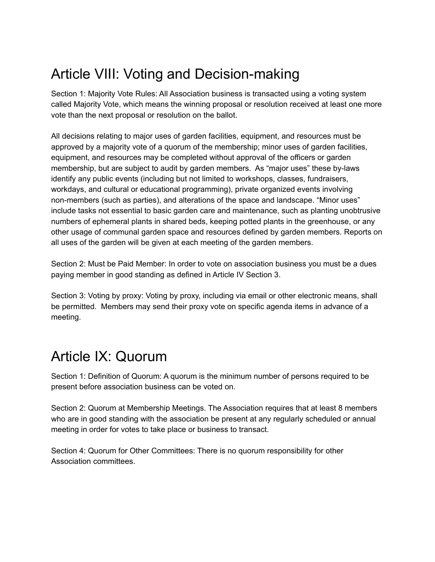### Article VIII: Voting and Decision-making

Section 1: Majority Vote Rules: All Association business is transacted using a voting system called Majority Vote, which means the winning proposal or resolution received at least one more vote than the next proposal or resolution on the ballot.

All decisions relating to major uses of garden facilities, equipment, and resources must be approved by a majority vote of a quorum of the membership; minor uses of garden facilities, equipment, and resources may be completed without approval of the officers or garden membership, but are subject to audit by garden members. As "major uses" these by-laws identify any public events (including but not limited to workshops, classes, fundraisers, workdays, and cultural or educational programming), private organized events involving non-members (such as parties), and alterations of the space and landscape. "Minor uses" include tasks not essential to basic garden care and maintenance, such as planting unobtrusive numbers of ephemeral plants in shared beds, keeping potted plants in the greenhouse, or any other usage of communal garden space and resources defined by garden members. Reports on all uses of the garden will be given at each meeting of the garden members.

Section 2: Must be Paid Member: In order to vote on association business you must be a dues paying member in good standing as defined in Article IV Section 3.

Section 3: Voting by proxy: Voting by proxy, including via email or other electronic means, shall be permitted. Members may send their proxy vote on specific agenda items in advance of a meeting.

#### Article IX: Quorum

Section 1: Definition of Quorum: A quorum is the minimum number of persons required to be present before association business can be voted on.

Section 2: Quorum at Membership Meetings. The Association requires that at least 8 members who are in good standing with the association be present at any regularly scheduled or annual meeting in order for votes to take place or business to transact.

Section 4: Quorum for Other Committees: There is no quorum responsibility for other Association committees.